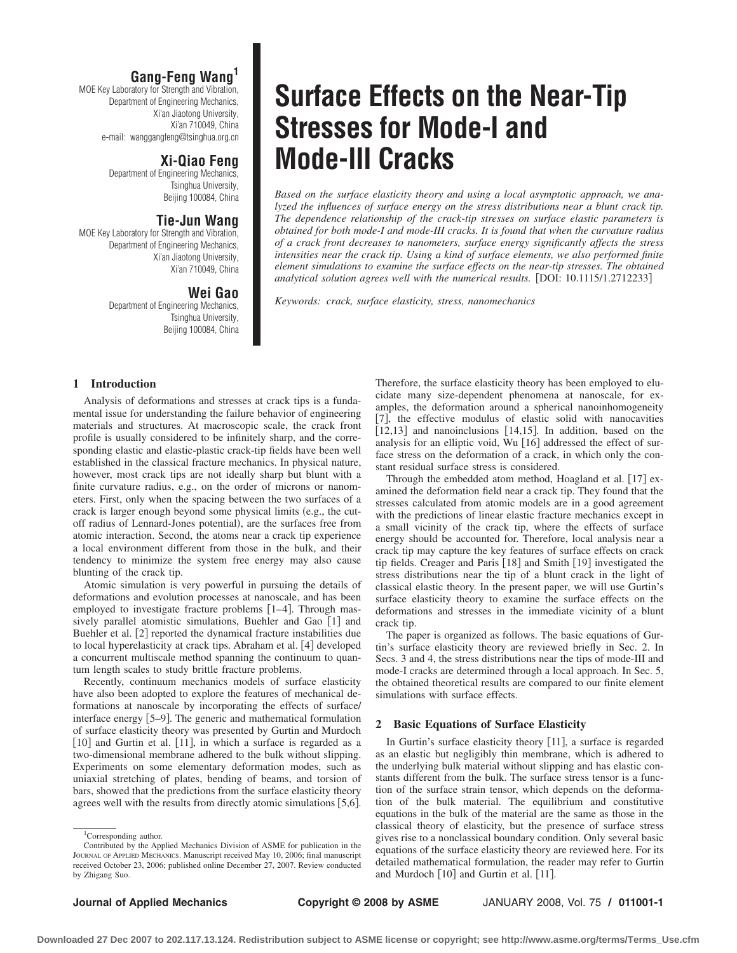## **Gang-Feng Wang<sup>1</sup>**

MOE Key Laboratory for Strength and Vibration, Department of Engineering Mechanics, Xi'an Jiaotong University, Xi'an 710049, China e-mail: wanggangfeng@tsinghua.org.cn

# **Xi-Qiao Feng**

Department of Engineering Mechanics, Tsinghua University, Beijing 100084, China

# **Tie-Jun Wang**

MOE Key Laboratory for Strength and Vibration, Department of Engineering Mechanics, Xi'an Jiaotong University, Xi'an 710049, China

# **Wei Gao**

Department of Engineering Mechanics, Tsinghua University, Beijing 100084, China

### **1 Introduction**

Analysis of deformations and stresses at crack tips is a fundamental issue for understanding the failure behavior of engineering materials and structures. At macroscopic scale, the crack front profile is usually considered to be infinitely sharp, and the corresponding elastic and elastic-plastic crack-tip fields have been well established in the classical fracture mechanics. In physical nature, however, most crack tips are not ideally sharp but blunt with a finite curvature radius, e.g., on the order of microns or nanometers. First, only when the spacing between the two surfaces of a crack is larger enough beyond some physical limits (e.g., the cutoff radius of Lennard-Jones potential, are the surfaces free from atomic interaction. Second, the atoms near a crack tip experience a local environment different from those in the bulk, and their tendency to minimize the system free energy may also cause blunting of the crack tip.

Atomic simulation is very powerful in pursuing the details of deformations and evolution processes at nanoscale, and has been employed to investigate fracture problems [1-4]. Through massively parallel atomistic simulations, Buehler and Gao [1] and Buehler et al. [2] reported the dynamical fracture instabilities due to local hyperelasticity at crack tips. Abraham et al. [4] developed a concurrent multiscale method spanning the continuum to quantum length scales to study brittle fracture problems.

Recently, continuum mechanics models of surface elasticity have also been adopted to explore the features of mechanical deformations at nanoscale by incorporating the effects of surface/ interface energy [5-9]. The generic and mathematical formulation of surface elasticity theory was presented by Gurtin and Murdoch [10] and Gurtin et al. [11], in which a surface is regarded as a two-dimensional membrane adhered to the bulk without slipping. Experiments on some elementary deformation modes, such as uniaxial stretching of plates, bending of beams, and torsion of bars, showed that the predictions from the surface elasticity theory agrees well with the results from directly atomic simulations [5,6].

# **Surface Effects on the Near-Tip Stresses for Mode-I and Mode-III Cracks**

*Based on the surface elasticity theory and using a local asymptotic approach, we analyzed the influences of surface energy on the stress distributions near a blunt crack tip. The dependence relationship of the crack-tip stresses on surface elastic parameters is obtained for both mode-I and mode-III cracks. It is found that when the curvature radius of a crack front decreases to nanometers, surface energy significantly affects the stress intensities near the crack tip. Using a kind of surface elements, we also performed finite element simulations to examine the surface effects on the near-tip stresses. The obtained* analytical solution agrees well with the numerical results. [DOI: 10.1115/1.2712233]

*Keywords: crack, surface elasticity, stress, nanomechanics*

Therefore, the surface elasticity theory has been employed to elucidate many size-dependent phenomena at nanoscale, for examples, the deformation around a spherical nanoinhomogeneity [7], the effective modulus of elastic solid with nanocavities  $[12, 13]$  and nanoinclusions  $[14, 15]$ . In addition, based on the analysis for an elliptic void, Wu [16] addressed the effect of surface stress on the deformation of a crack, in which only the constant residual surface stress is considered.

Through the embedded atom method, Hoagland et al. [17] examined the deformation field near a crack tip. They found that the stresses calculated from atomic models are in a good agreement with the predictions of linear elastic fracture mechanics except in a small vicinity of the crack tip, where the effects of surface energy should be accounted for. Therefore, local analysis near a crack tip may capture the key features of surface effects on crack tip fields. Creager and Paris [18] and Smith [19] investigated the stress distributions near the tip of a blunt crack in the light of classical elastic theory. In the present paper, we will use Gurtin's surface elasticity theory to examine the surface effects on the deformations and stresses in the immediate vicinity of a blunt crack tip.

The paper is organized as follows. The basic equations of Gurtin's surface elasticity theory are reviewed briefly in Sec. 2. In Secs. 3 and 4, the stress distributions near the tips of mode-III and mode-I cracks are determined through a local approach. In Sec. 5, the obtained theoretical results are compared to our finite element simulations with surface effects.

### **2 Basic Equations of Surface Elasticity**

In Gurtin's surface elasticity theory [11], a surface is regarded as an elastic but negligibly thin membrane, which is adhered to the underlying bulk material without slipping and has elastic constants different from the bulk. The surface stress tensor is a function of the surface strain tensor, which depends on the deformation of the bulk material. The equilibrium and constitutive equations in the bulk of the material are the same as those in the classical theory of elasticity, but the presence of surface stress gives rise to a nonclassical boundary condition. Only several basic equations of the surface elasticity theory are reviewed here. For its detailed mathematical formulation, the reader may refer to Gurtin and Murdoch [10] and Gurtin et al. [11].

<sup>&</sup>lt;sup>1</sup>Corresponding author. Contributed by the Applied Mechanics Division of ASME for publication in the JOURNAL OF APPLIED MECHANICS. Manuscript received May 10, 2006; final manuscript received October 23, 2006; published online December 27, 2007. Review conducted by Zhigang Suo.

**Downloaded 27 Dec 2007 to 202.117.13.124. Redistribution subject to ASME license or copyright; see http://www.asme.org/terms/Terms\_Use.cfm**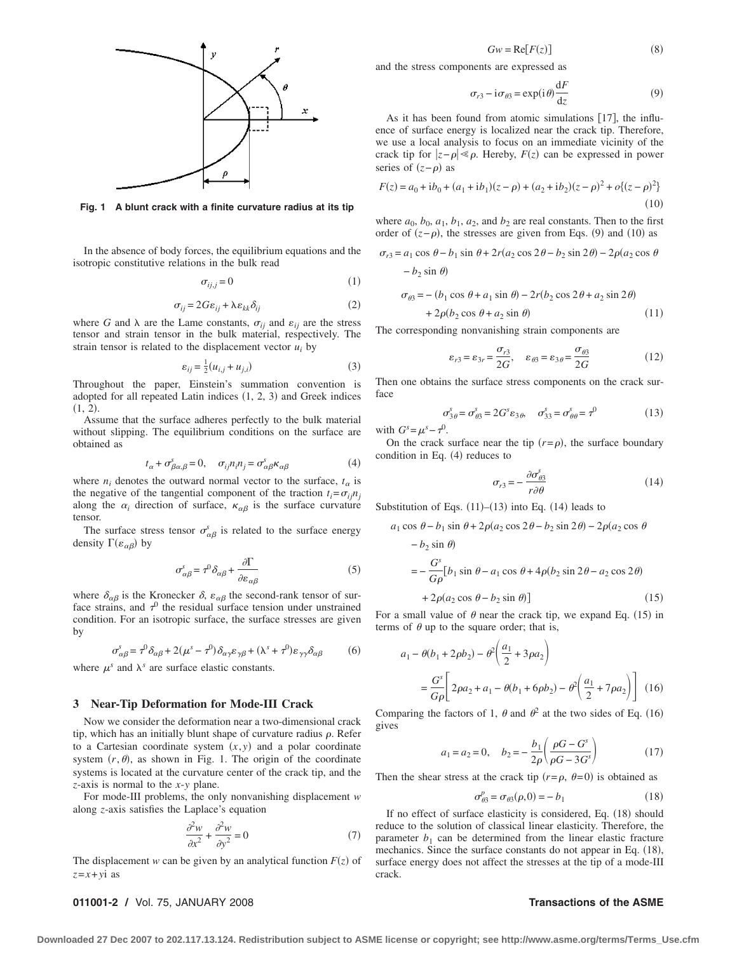

**Fig. 1 A blunt crack with a finite curvature radius at its tip**

In the absence of body forces, the equilibrium equations and the isotropic constitutive relations in the bulk read

$$
\sigma_{ij,j} = 0 \tag{1}
$$

$$
\sigma_{ij} = 2G\varepsilon_{ij} + \lambda \varepsilon_{kk} \delta_{ij} \tag{2}
$$

where *G* and  $\lambda$  are the Lame constants,  $\sigma_{ij}$  and  $\varepsilon_{ij}$  are the stress tensor and strain tensor in the bulk material, respectively. The strain tensor is related to the displacement vector  $u_i$  by

$$
\varepsilon_{ij} = \frac{1}{2}(u_{i,j} + u_{j,i})\tag{3}
$$

Throughout the paper, Einstein's summation convention is adopted for all repeated Latin indices  $(1, 2, 3)$  and Greek indices  $(1, 2)$ .

Assume that the surface adheres perfectly to the bulk material without slipping. The equilibrium conditions on the surface are obtained as

$$
t_{\alpha} + \sigma_{\beta\alpha,\beta}^{s} = 0, \quad \sigma_{ij}n_{i}n_{j} = \sigma_{\alpha\beta}^{s}\kappa_{\alpha\beta} \tag{4}
$$

where  $n_i$  denotes the outward normal vector to the surface,  $t_\alpha$  is the negative of the tangential component of the traction  $t_i = \sigma_{ij} n_j$ along the  $\alpha_i$  direction of surface,  $\kappa_{\alpha\beta}$  is the surface curvature tensor.

The surface stress tensor  $\sigma_{\alpha\beta}^{s}$  is related to the surface energy density  $\Gamma(\varepsilon_{\alpha\beta})$  by

$$
\sigma_{\alpha\beta}^s = \tau^0 \delta_{\alpha\beta} + \frac{\partial \Gamma}{\partial \varepsilon_{\alpha\beta}} \tag{5}
$$

where  $\delta_{\alpha\beta}$  is the Kronecker  $\delta$ ,  $\varepsilon_{\alpha\beta}$  the second-rank tensor of surface strains, and  $\tau^0$  the residual surface tension under unstrained condition. For an isotropic surface, the surface stresses are given by

$$
\sigma_{\alpha\beta}^s = \tau^0 \delta_{\alpha\beta} + 2(\mu^s - \tau^0) \delta_{\alpha\gamma} \varepsilon_{\gamma\beta} + (\lambda^s + \tau^0) \varepsilon_{\gamma\gamma} \delta_{\alpha\beta} \tag{6}
$$

where  $\mu^s$  and  $\lambda^s$  are surface elastic constants.

### **3 Near-Tip Deformation for Mode-III Crack**

Now we consider the deformation near a two-dimensional crack tip, which has an initially blunt shape of curvature radius  $\rho$ . Refer to a Cartesian coordinate system  $(x, y)$  and a polar coordinate system  $(r, \theta)$ , as shown in Fig. 1. The origin of the coordinate systems is located at the curvature center of the crack tip, and the *z*-axis is normal to the *x*-*y* plane.

For mode-III problems, the only nonvanishing displacement *w* along *z*-axis satisfies the Laplace's equation

$$
\frac{\partial^2 w}{\partial x^2} + \frac{\partial^2 w}{\partial y^2} = 0\tag{7}
$$

The displacement *w* can be given by an analytical function  $F(z)$  of *z*=*x*+*y*i as

 $Gw = \text{Re}[F(z)]$ 8

and the stress components are expressed as

$$
\sigma_{r3} - i\sigma_{\theta 3} = \exp(i\theta) \frac{dF}{dz}
$$
 (9)

As it has been found from atomic simulations [17], the influence of surface energy is localized near the crack tip. Therefore, we use a local analysis to focus on an immediate vicinity of the crack tip for  $|z-\rho| \ll \rho$ . Hereby,  $F(z)$  can be expressed in power series of  $(z-\rho)$  as

$$
F(z) = a_0 + ib_0 + (a_1 + ib_1)(z - \rho) + (a_2 + ib_2)(z - \rho)^2 + o\{(z - \rho)^2\}
$$
  
(10)

where  $a_0$ ,  $b_0$ ,  $a_1$ ,  $b_1$ ,  $a_2$ , and  $b_2$  are real constants. Then to the first order of  $(z-\rho)$ , the stresses are given from Eqs. (9) and (10) as

$$
\sigma_{r3} = a_1 \cos \theta - b_1 \sin \theta + 2r(a_2 \cos 2\theta - b_2 \sin 2\theta) - 2\rho(a_2 \cos \theta - b_2 \sin \theta)
$$

$$
\sigma_{\theta 3} = -(b_1 \cos \theta + a_1 \sin \theta) - 2r(b_2 \cos 2\theta + a_2 \sin 2\theta)
$$
  
+ 2\rho(b\_2 \cos \theta + a\_2 \sin \theta) (11)

The corresponding nonvanishing strain components are

$$
\varepsilon_{r3} = \varepsilon_{3r} = \frac{\sigma_{r3}}{2G}, \quad \varepsilon_{\theta 3} = \varepsilon_{3\theta} = \frac{\sigma_{\theta 3}}{2G} \tag{12}
$$

Then one obtains the surface stress components on the crack surface

$$
\sigma_{3\theta}^s = \sigma_{\theta 3}^s = 2G^s \varepsilon_{3\theta}, \quad \sigma_{33}^s = \sigma_{\theta\theta}^s = \tau^0 \tag{13}
$$

with  $G^s = \mu^s - \tau^0$ .

On the crack surface near the tip  $(r = \rho)$ , the surface boundary condition in Eq.  $(4)$  reduces to

$$
\sigma_{r3} = -\frac{\partial \sigma_{\theta3}^s}{r \partial \theta} \tag{14}
$$

Substitution of Eqs.  $(11)–(13)$  into Eq.  $(14)$  leads to

$$
a_1 \cos \theta - b_1 \sin \theta + 2\rho (a_2 \cos 2\theta - b_2 \sin 2\theta) - 2\rho (a_2 \cos \theta
$$
  
\n
$$
- b_2 \sin \theta)
$$
  
\n
$$
= -\frac{G^s}{G\rho} [b_1 \sin \theta - a_1 \cos \theta + 4\rho (b_2 \sin 2\theta - a_2 \cos 2\theta)
$$
  
\n
$$
+ 2\rho (a_2 \cos \theta - b_2 \sin \theta)]
$$
 (15)

For a small value of  $\theta$  near the crack tip, we expand Eq. (15) in terms of  $\theta$  up to the square order; that is,

$$
a_1 - \theta(b_1 + 2\rho b_2) - \theta^2 \left(\frac{a_1}{2} + 3\rho a_2\right)
$$
  
=  $\frac{G^s}{G\rho} \left[ 2\rho a_2 + a_1 - \theta(b_1 + 6\rho b_2) - \theta^2 \left(\frac{a_1}{2} + 7\rho a_2\right) \right]$  (16)

Comparing the factors of 1,  $\theta$  and  $\theta^2$  at the two sides of Eq. (16) gives

$$
a_1 = a_2 = 0, \quad b_2 = -\frac{b_1}{2\rho} \left( \frac{\rho G - G^s}{\rho G - 3G^s} \right) \tag{17}
$$

Then the shear stress at the crack tip  $(r = \rho, \theta = 0)$  is obtained as

$$
\sigma_{\theta 3}^p = \sigma_{\theta 3}(\rho, 0) = -b_1 \tag{18}
$$

If no effect of surface elasticity is considered, Eq. (18) should reduce to the solution of classical linear elasticity. Therefore, the parameter  $b_1$  can be determined from the linear elastic fracture mechanics. Since the surface constants do not appear in Eq.  $(18)$ , surface energy does not affect the stresses at the tip of a mode-III crack.

### **011001-2 /** Vol. 75, JANUARY 2008 **Transactions of the ASME**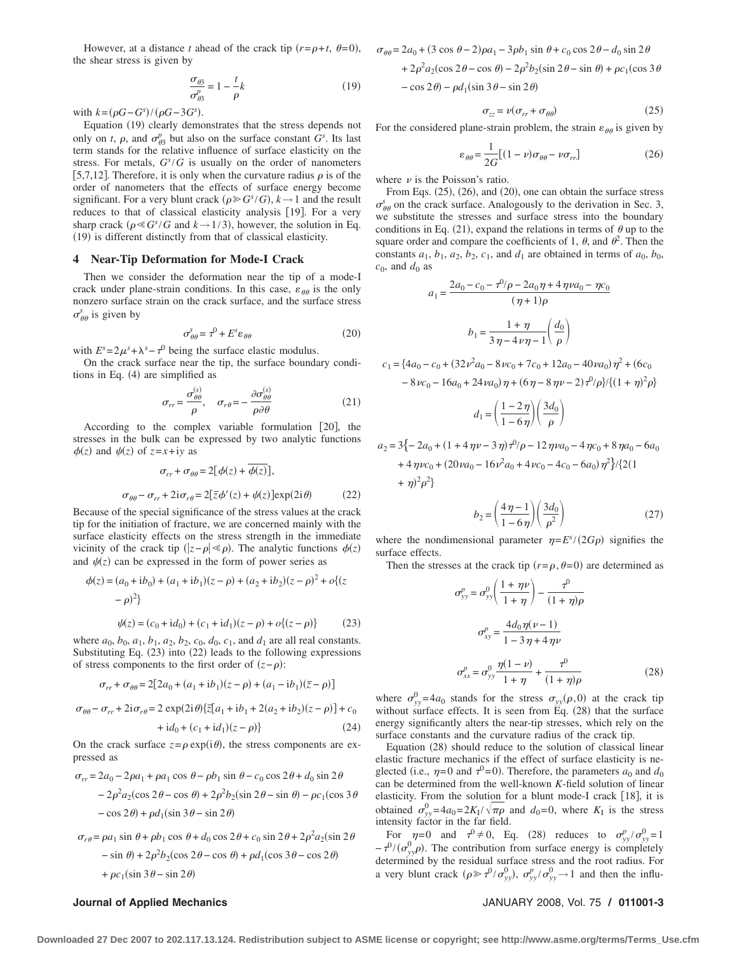However, at a distance *t* ahead of the crack tip  $(r = \rho + t, \theta = 0)$ , the shear stress is given by

$$
\frac{\sigma_{\theta 3}}{\sigma_{\theta 3}^p} = 1 - \frac{t}{\rho}k\tag{19}
$$

with  $k = (\rho G - G^s)/(\rho G - 3G^s)$ .

Equation (19) clearly demonstrates that the stress depends not only on *t*,  $\rho$ , and  $\sigma_{\theta_3}^p$  but also on the surface constant  $G^s$ . Its last term stands for the relative influence of surface elasticity on the stress. For metals,  $G<sup>s</sup>/G$  is usually on the order of nanometers [5,7,12]. Therefore, it is only when the curvature radius  $\rho$  is of the order of nanometers that the effects of surface energy become significant. For a very blunt crack  $(\rho \geq G^s/G)$ ,  $k \to 1$  and the result reduces to that of classical elasticity analysis [19]. For a very sharp crack  $(\rho \ll G^s/G$  and  $k \rightarrow 1/3)$ , however, the solution in Eq. 19 is different distinctly from that of classical elasticity.

### **4 Near-Tip Deformation for Mode-I Crack**

Then we consider the deformation near the tip of a mode-I crack under plane-strain conditions. In this case,  $\varepsilon_{\theta\theta}$  is the only nonzero surface strain on the crack surface, and the surface stress  $\sigma_{\theta\theta}^s$  is given by

$$
\sigma_{\theta\theta}^s = \tau^0 + E^s \varepsilon_{\theta\theta} \tag{20}
$$

with  $E^s = 2\mu^s + \lambda^s - \tau^0$  being the surface elastic modulus.

On the crack surface near the tip, the surface boundary conditions in Eq.  $(4)$  are simplified as

$$
\sigma_{rr} = \frac{\sigma_{\theta\theta}^{(s)}}{\rho}, \quad \sigma_{r\theta} = -\frac{\partial \sigma_{\theta\theta}^{(s)}}{\rho \partial \theta}
$$
(21)

According to the complex variable formulation [20], the stresses in the bulk can be expressed by two analytic functions  $\phi(z)$  and  $\psi(z)$  of  $z=x+iy$  as

$$
\sigma_{rr} + \sigma_{\theta\theta} = 2[\phi(z) + \phi(z)],
$$
  

$$
\sigma_{\theta\theta} - \sigma_{rr} + 2i\sigma_{r\theta} = 2[\overline{z}\phi'(z) + \psi(z)]\exp(2i\theta)
$$
 (22)

Because of the special significance of the stress values at the crack tip for the initiation of fracture, we are concerned mainly with the surface elasticity effects on the stress strength in the immediate vicinity of the crack tip  $(|z-\rho| \ll \rho)$ . The analytic functions  $\phi(z)$ and  $\psi(z)$  can be expressed in the form of power series as

$$
\phi(z) = (a_0 + ib_0) + (a_1 + ib_1)(z - \rho) + (a_2 + ib_2)(z - \rho)^2 + o\{(z - \rho)^2\}
$$

$$
\psi(z) = (c_0 + id_0) + (c_1 + id_1)(z - \rho) + o\{(z - \rho)\}
$$
(23)

where  $a_0$ ,  $b_0$ ,  $a_1$ ,  $b_1$ ,  $a_2$ ,  $b_2$ ,  $c_0$ ,  $d_0$ ,  $c_1$ , and  $d_1$  are all real constants. Substituting Eq.  $(23)$  into  $(22)$  leads to the following expressions of stress components to the first order of  $(z - \rho)$ :

$$
\sigma_{rr} + \sigma_{\theta\theta} = 2[2a_0 + (a_1 + ib_1)(z - \rho) + (a_1 - ib_1)(\overline{z} - \rho)]
$$

 $\sigma_{\theta\theta} - \sigma_{rr} + 2i\sigma_{r\theta} = 2 \exp(2i\theta)\{\bar{z}[a_1 + ib_1 + 2(a_2 + ib_2)(z - \rho)] + c_0$  $+i d_0 + (c_1 + id_1)(z - \rho)$  (24)

On the crack surface  $z = \rho \exp(i\theta)$ , the stress components are expressed as

$$
\sigma_{rr} = 2a_0 - 2\rho a_1 + \rho a_1 \cos \theta - \rho b_1 \sin \theta - c_0 \cos 2\theta + d_0 \sin 2\theta
$$
  

$$
- 2\rho^2 a_2 (\cos 2\theta - \cos \theta) + 2\rho^2 b_2 (\sin 2\theta - \sin \theta) - \rho c_1 (\cos 3\theta
$$
  

$$
- \cos 2\theta) + \rho d_1 (\sin 3\theta - \sin 2\theta)
$$

$$
\sigma_{r\theta} = \rho a_1 \sin \theta + \rho b_1 \cos \theta + d_0 \cos 2\theta + c_0 \sin 2\theta + 2\rho^2 a_2 (\sin 2\theta - \sin \theta) + 2\rho^2 b_2 (\cos 2\theta - \cos \theta) + \rho d_1 (\cos 3\theta - \cos 2\theta) + \rho c_1 (\sin 3\theta - \sin 2\theta)
$$

$$
\sigma_{\theta\theta} = 2a_0 + (3\cos\theta - 2)\rho a_1 - 3\rho b_1 \sin\theta + c_0 \cos 2\theta - d_0 \sin 2\theta
$$
  
+  $2\rho^2 a_2(\cos 2\theta - \cos \theta) - 2\rho^2 b_2(\sin 2\theta - \sin \theta) + \rho c_1(\cos 3\theta$   
-  $\cos 2\theta) - \rho d_1(\sin 3\theta - \sin 2\theta)$ 

$$
\sigma_{zz} = \nu(\sigma_{rr} + \sigma_{\theta\theta}) \tag{25}
$$

For the considered plane-strain problem, the strain  $\varepsilon_{\theta\theta}$  is given by

$$
\varepsilon_{\theta\theta} = \frac{1}{2G} \left[ (1 - \nu)\sigma_{\theta\theta} - \nu \sigma_{rr} \right] \tag{26}
$$

where  $\nu$  is the Poisson's ratio.

From Eqs. (25), (26), and (20), one can obtain the surface stress  $\sigma_{\theta\theta}^{s}$  on the crack surface. Analogously to the derivation in Sec. 3, we substitute the stresses and surface stress into the boundary conditions in Eq. (21), expand the relations in terms of  $\theta$  up to the square order and compare the coefficients of 1,  $\theta$ , and  $\theta^2$ . Then the constants  $a_1$ ,  $b_1$ ,  $a_2$ ,  $b_2$ ,  $c_1$ , and  $d_1$  are obtained in terms of  $a_0$ ,  $b_0$ ,  $c_0$ , and  $d_0$  as

$$
a_1 = \frac{2a_0 - c_0 - \tau^0/\rho - 2a_0\eta + 4\eta\nu a_0 - \eta c_0}{(\eta + 1)\rho}
$$

$$
b_1 = \frac{1 + \eta}{3\eta - 4\nu\eta - 1} \left(\frac{d_0}{\rho}\right)
$$

$$
c_1 = \{4a_0 - c_0 + (32\nu^2 a_0 - 8\nu c_0 + 7c_0 + 12a_0 - 40\nu a_0)\eta^2 + (6c_0 - 8\nu c_0 - 16a_0 + 24\nu a_0)\eta + (6\eta - 8\eta\nu - 2)\eta^0/\rho\}/\{(1 + \eta)^2\rho\}
$$

$$
d_1 = \left(\frac{1-2\,\eta}{1-6\,\eta}\right)\left(\frac{3d_0}{\rho}\right)
$$

$$
a_2 = 3\{-2a_0 + (1 + 4\eta\nu - 3\eta)\tau^0/\rho - 12\eta\nu a_0 - 4\eta c_0 + 8\eta a_0 - 6a_0 + 4\eta\nu c_0 + (20\nu a_0 - 16\nu^2 a_0 + 4\nu c_0 - 4c_0 - 6a_0)\eta^2\}/{2(1 + \eta)^2 \rho^2}
$$

$$
b_2 = \left(\frac{4\,\eta - 1}{1 - 6\,\eta}\right) \left(\frac{3d_0}{\rho^2}\right) \tag{27}
$$

where the nondimensional parameter  $\eta = E^{s}/(2G\rho)$  signifies the surface effects.

Then the stresses at the crack tip  $(r = \rho, \theta = 0)$  are determined as

$$
\sigma_{yy}^p = \sigma_{yy}^0 \left( \frac{1 + \eta \nu}{1 + \eta} \right) - \frac{\tau^0}{(1 + \eta)\rho}
$$

$$
\sigma_{xy}^p = \frac{4d_0 \eta(\nu - 1)}{1 - 3\eta + 4\eta \nu}
$$

$$
\sigma_{xx}^p = \sigma_{yy}^0 \frac{\eta(1 - \nu)}{1 + \eta} + \frac{\tau^0}{(1 + \eta)\rho}
$$
(28)

where  $\sigma_{yy}^0 = 4a_0$  stands for the stress  $\sigma_{yy}(\rho,0)$  at the crack tip without surface effects. It is seen from Eq.  $(28)$  that the surface energy significantly alters the near-tip stresses, which rely on the surface constants and the curvature radius of the crack tip.

Equation (28) should reduce to the solution of classical linear elastic fracture mechanics if the effect of surface elasticity is neglected (i.e.,  $\eta = 0$  and  $\tau^0 = 0$ ). Therefore, the parameters  $a_0$  and  $d_0$ can be determined from the well-known *K*-field solution of linear elasticity. From the solution for a blunt mode-I crack [18], it is obtained  $\sigma_{yy}^0 = 4a_0 = 2K_I/\sqrt{\pi \rho}$  and  $d_0 = 0$ , where  $K_I$  is the stress intensity factor in the far field.

For  $\eta = 0$  and  $\tau^0 \neq 0$ , Eq. (28) reduces to  $\sigma_{yy}^p / \sigma_{yy}^0 = 1$  $-\tau^{0}/(\sigma_{yy}^{0}\rho)$ . The contribution from surface energy is completely determined by the residual surface stress and the root radius. For a very blunt crack  $(\rho \gg \tau^0 / \sigma_{yy}^0)$ ,  $\sigma_{yy}^p / \sigma_{yy}^0 \rightarrow 1$  and then the influ-

### **Journal of Applied Mechanics** JANUARY 2008, Vol. 75 **/ 011001-3**

**Downloaded 27 Dec 2007 to 202.117.13.124. Redistribution subject to ASME license or copyright; see http://www.asme.org/terms/Terms\_Use.cfm**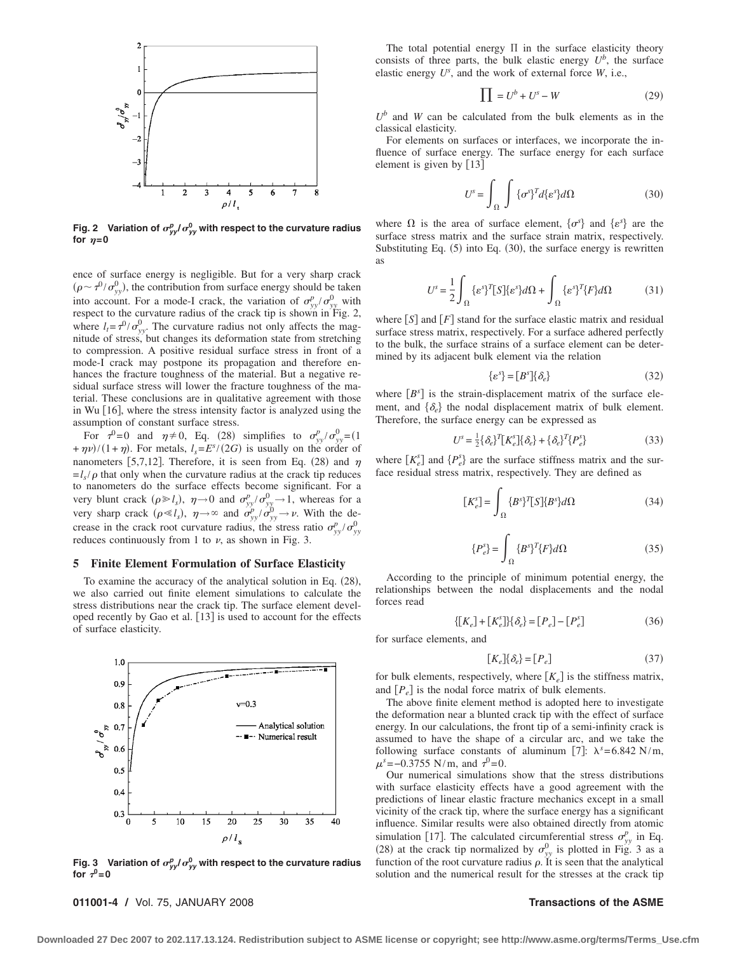

Fig. 2 Variation of  $\sigma_{yy}^p/\sigma_{yy}^0$  with respect to the curvature radius for  $\eta = 0$ 

ence of surface energy is negligible. But for a very sharp crack  $(\rho \sim \tau^{0}/\sigma_{yy}^{0})$ , the contribution from surface energy should be taken into account. For a mode-I crack, the variation of  $\sigma_{yy}^p / \sigma_{yy}^0$  with respect to the curvature radius of the crack tip is shown in Fig. 2, where  $l_t = \tau^{0} / \sigma_{yy}^{0}$ . The curvature radius not only affects the magnitude of stress, but changes its deformation state from stretching to compression. A positive residual surface stress in front of a mode-I crack may postpone its propagation and therefore enhances the fracture toughness of the material. But a negative residual surface stress will lower the fracture toughness of the material. These conclusions are in qualitative agreement with those in Wu [16], where the stress intensity factor is analyzed using the assumption of constant surface stress.

For  $\tau^0 = 0$  and  $\eta \neq 0$ , Eq. (28) simplifies to  $\sigma_{yy}^p / \sigma_{yy}^0 = (1$  $+\eta \nu$ /(1+ $\eta$ ). For metals,  $l_s = E^{s}/(2G)$  is usually on the order of nanometers [5,7,12]. Therefore, it is seen from Eq. (28) and  $\eta$  $=$ *l<sub>s</sub>*/ $\rho$  that only when the curvature radius at the crack tip reduces to nanometers do the surface effects become significant. For a very blunt crack  $(\rho \ge l_s)$ ,  $\eta \to 0$  and  $\sigma_{yy}^p / \sigma_{yy}^0 \to 1$ , whereas for a very sharp crack  $(\rho \ll l_s)$ ,  $\eta \rightarrow \infty$  and  $\sigma_{yy}^p / \sigma_{yy}^0 \rightarrow \nu$ . With the decrease in the crack root curvature radius, the stress ratio  $\sigma_{yy}^p / \sigma_{yy}^0$ reduces continuously from 1 to  $\nu$ , as shown in Fig. 3.

### **5 Finite Element Formulation of Surface Elasticity**

To examine the accuracy of the analytical solution in Eq.  $(28)$ , we also carried out finite element simulations to calculate the stress distributions near the crack tip. The surface element developed recently by Gao et al. [13] is used to account for the effects of surface elasticity.



Fig. 3 Variation of  $\sigma_{yy}^p/\sigma_{yy}^0$  with respect to the curvature radius for  $\tau^0=0$ 

**011001-4 /** Vol. 75, JANUARY 2008 **Transactions of the ASME**

The total potential energy  $\Pi$  in the surface elasticity theory consists of three parts, the bulk elastic energy  $U^b$ , the surface elastic energy *U<sup>s</sup>* , and the work of external force *W*, i.e.,

$$
\prod = U^b + U^s - W \tag{29}
$$

 $U^b$  and *W* can be calculated from the bulk elements as in the classical elasticity.

For elements on surfaces or interfaces, we incorporate the influence of surface energy. The surface energy for each surface element is given by [13]

$$
U^{s} = \int_{\Omega} \int {\{\sigma^{s}\}}^{T} d{\{\varepsilon^{s}\}} d\Omega \qquad (30)
$$

where  $\Omega$  is the area of surface element,  $\{\sigma^s\}$  and  $\{\varepsilon^s\}$  are the surface stress matrix and the surface strain matrix, respectively. Substituting Eq.  $(5)$  into Eq.  $(30)$ , the surface energy is rewritten as

$$
U^s = \frac{1}{2} \int_{\Omega} {\{\varepsilon^s\}}^T [S] {\{\varepsilon^s\}} d\Omega + \int_{\Omega} {\{\varepsilon^s\}}^T \{F\} d\Omega \tag{31}
$$

where  $[S]$  and  $[F]$  stand for the surface elastic matrix and residual surface stress matrix, respectively. For a surface adhered perfectly to the bulk, the surface strains of a surface element can be determined by its adjacent bulk element via the relation

$$
\{\varepsilon^s\} = [B^s] \{\delta_e\} \tag{32}
$$

where  $[B<sup>s</sup>]$  is the strain-displacement matrix of the surface element, and  $\{\delta_e\}$  the nodal displacement matrix of bulk element. Therefore, the surface energy can be expressed as

$$
U^{s} = \frac{1}{2} \{ \delta_{e} \}^{T} [K_{e}^{s}] \{ \delta_{e} \} + \{ \delta_{e} \}^{T} \{ P_{e}^{s} \}
$$
 (33)

where  $[K_e^s]$  and  $\{P_e^s\}$  are the surface stiffness matrix and the surface residual stress matrix, respectively. They are defined as

$$
[K_e^s] = \int_{\Omega} {\{B^s\}}^T [S] {\{B^s\}} d\Omega \tag{34}
$$

$$
\{P_e^s\} = \int_{\Omega} \{B^s\}^T \{F\} d\Omega \tag{35}
$$

According to the principle of minimum potential energy, the relationships between the nodal displacements and the nodal forces read

$$
\{[K_e] + [K_e^s]\}\{\delta_e\} = [P_e] - [P_e^s]
$$
\n(36)

for surface elements, and

$$
[K_e]\{\delta_e\} = [P_e] \tag{37}
$$

for bulk elements, respectively, where  $[K_e]$  is the stiffness matrix, and  $[P_e]$  is the nodal force matrix of bulk elements.

The above finite element method is adopted here to investigate the deformation near a blunted crack tip with the effect of surface energy. In our calculations, the front tip of a semi-infinity crack is assumed to have the shape of a circular arc, and we take the following surface constants of aluminum [7]:  $\lambda^s = 6.842$  N/m,  $\mu^s$ =−0.3755 N/m, and  $\tau^0$ =0.

Our numerical simulations show that the stress distributions with surface elasticity effects have a good agreement with the predictions of linear elastic fracture mechanics except in a small vicinity of the crack tip, where the surface energy has a significant influence. Similar results were also obtained directly from atomic simulation [17]. The calculated circumferential stress  $\sigma_{yy}^p$  in Eq. (28) at the crack tip normalized by  $\sigma_{yy}^0$  is plotted in Fig. 3 as a function of the root curvature radius  $\rho$ . It is seen that the analytical solution and the numerical result for the stresses at the crack tip

**Downloaded 27 Dec 2007 to 202.117.13.124. Redistribution subject to ASME license or copyright; see http://www.asme.org/terms/Terms\_Use.cfm**